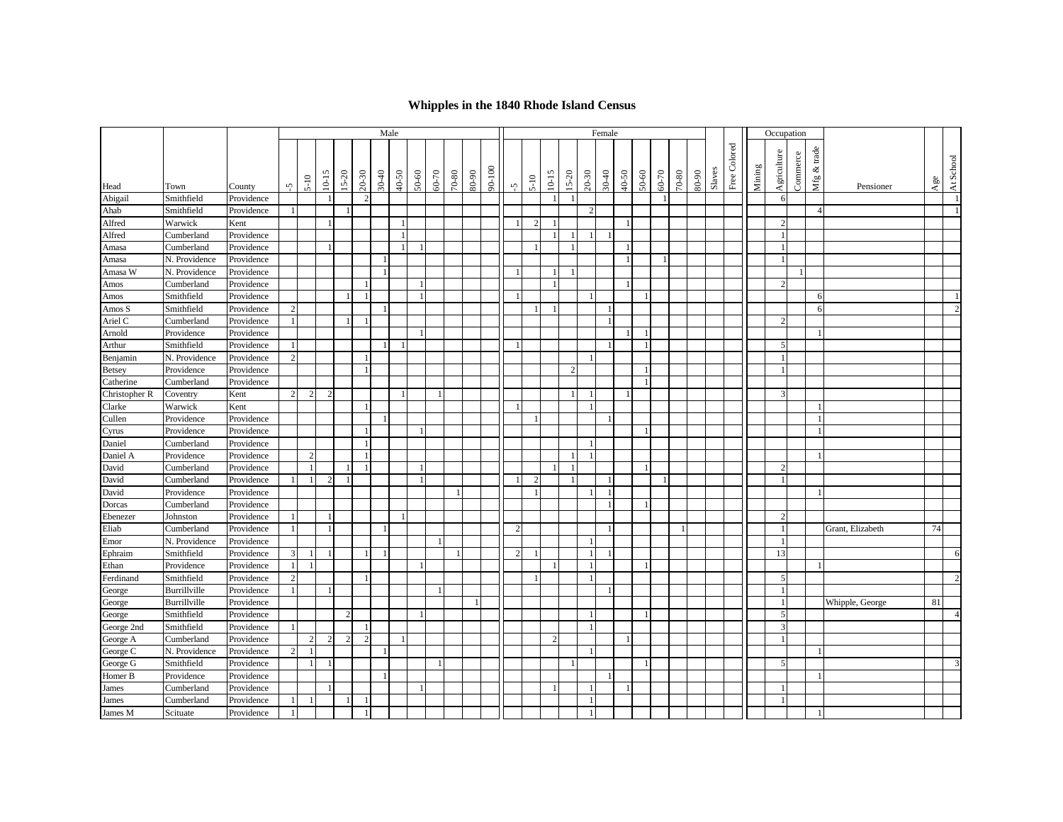## **Whipples in the 1840 Rhode Island Census**

|               |               |            |                |                | Male<br>Female |                |                |           |                |              |       |           |           |        |                      |               |                |                |                |                |       |                | Occupation   |           |       |        |              |        |                |                         |                          |                  |     |                |
|---------------|---------------|------------|----------------|----------------|----------------|----------------|----------------|-----------|----------------|--------------|-------|-----------|-----------|--------|----------------------|---------------|----------------|----------------|----------------|----------------|-------|----------------|--------------|-----------|-------|--------|--------------|--------|----------------|-------------------------|--------------------------|------------------|-----|----------------|
|               |               |            |                | $5 - 10$       | $10 - 15$      | $15 - 20$      | $20 - 30$      | $30 - 40$ | 40-50          | 50-60        | 60-70 | $70 - 80$ | $80 - 90$ | 90-100 |                      | $5 - 10$      | $10 - 15$      | $15 - 20$      | $20 - 30$      | $30-40$        | 40-50 | $50 - 60$      | $60 - 70$    | $70 - 80$ | 80-90 | Slaves | Free Colored | Mining | Agriculture    | Commerce                | Mfg & trade              |                  | Age | At School      |
| Head          | Town          | County     | Ñ,             |                |                |                |                |           |                |              |       |           |           |        | $\tilde{\mathbf{v}}$ |               |                |                |                |                |       |                |              |           |       |        |              |        |                |                         |                          | Pensioner        |     |                |
| Abigail       | Smithfield    | Providence |                |                |                |                | $\mathcal{D}$  |           |                |              |       |           |           |        |                      |               |                |                |                |                |       |                | $\mathbf{1}$ |           |       |        |              |        |                | 6                       |                          |                  |     |                |
| Ahab          | Smithfield    | Providence |                |                |                | $\overline{1}$ |                |           |                |              |       |           |           |        |                      |               |                |                | $\mathcal{D}$  |                |       |                |              |           |       |        |              |        |                |                         | $\boldsymbol{\varDelta}$ |                  |     |                |
| Alfred        | Warwick       | Kent       |                |                |                |                |                |           |                |              |       |           |           |        | $\overline{1}$       | $\mathcal{D}$ |                |                |                |                |       |                |              |           |       |        |              |        |                | $\gamma$                |                          |                  |     |                |
| Alfred        | Cumberland    | Providence |                |                |                |                |                |           | $\overline{1}$ |              |       |           |           |        |                      |               |                |                |                | $\overline{1}$ |       |                |              |           |       |        |              |        | $\overline{1}$ |                         |                          |                  |     |                |
| Amasa         | Cumberland    | Providence |                |                |                |                |                |           |                |              |       |           |           |        |                      |               |                |                |                |                |       |                |              |           |       |        |              |        |                |                         |                          |                  |     |                |
| Amasa         | N. Providence | Providence |                |                |                |                |                |           |                |              |       |           |           |        |                      |               |                |                |                |                |       |                |              |           |       |        |              |        |                |                         |                          |                  |     |                |
| Amasa W       | N. Providence | Providence |                |                |                |                |                |           |                |              |       |           |           |        | -1                   |               |                |                |                |                |       |                |              |           |       |        |              |        |                |                         |                          |                  |     |                |
| Amos          | Cumberland    | Providence |                |                |                |                |                |           |                |              |       |           |           |        |                      |               |                |                |                |                |       |                |              |           |       |        |              |        |                | 2                       |                          |                  |     |                |
| Amos          | Smithfield    | Providence |                |                |                | $\mathbf{1}$   | $\overline{1}$ |           |                | $\mathbf{1}$ |       |           |           |        | $\overline{1}$       |               |                |                |                |                |       | - 1            |              |           |       |        |              |        |                |                         | 6                        |                  |     |                |
| Amos S        | Smithfield    | Providence | $\mathcal{D}$  |                |                |                |                |           |                |              |       |           |           |        |                      |               |                |                |                | $\overline{1}$ |       |                |              |           |       |        |              |        |                |                         | 6                        |                  |     | $\overline{2}$ |
| Ariel C       | Cumberland    | Providence |                |                |                | $\mathbf{1}$   | $\overline{1}$ |           |                |              |       |           |           |        |                      |               |                |                |                | $\overline{1}$ |       |                |              |           |       |        |              |        |                | 2                       |                          |                  |     |                |
| Arnold        | Providence    | Providence |                |                |                |                |                |           |                |              |       |           |           |        |                      |               |                |                |                |                |       |                |              |           |       |        |              |        |                |                         | $\mathbf{1}$             |                  |     |                |
| Arthur        | Smithfield    | Providence |                |                |                |                |                |           |                |              |       |           |           |        |                      |               |                |                |                | $\overline{1}$ |       |                |              |           |       |        |              |        |                | 5                       |                          |                  |     |                |
| Benjamin      | N. Providence | Providence |                |                |                |                |                |           |                |              |       |           |           |        |                      |               |                |                |                |                |       |                |              |           |       |        |              |        | $\overline{1}$ |                         |                          |                  |     |                |
| <b>Betsey</b> | Providence    | Providence |                |                |                |                |                |           |                |              |       |           |           |        |                      |               |                | $\overline{2}$ |                |                |       |                |              |           |       |        |              |        | $\mathbf{1}$   |                         |                          |                  |     |                |
| Catherine     | Cumberland    | Providence |                |                |                |                |                |           |                |              |       |           |           |        |                      |               |                |                |                |                |       | $\overline{1}$ |              |           |       |        |              |        |                |                         |                          |                  |     |                |
| Christopher R | Coventry      | Kent       | $\overline{2}$ | $\overline{2}$ | $\overline{2}$ |                |                |           |                |              |       |           |           |        |                      |               |                |                |                |                |       |                |              |           |       |        |              |        |                | 3                       |                          |                  |     |                |
| Clarke        | Warwick       | Kent       |                |                |                |                |                |           |                |              |       |           |           |        |                      |               |                |                |                |                |       |                |              |           |       |        |              |        |                |                         |                          |                  |     |                |
| Cullen        | Providence    | Providence |                |                |                |                |                |           |                |              |       |           |           |        |                      |               |                |                |                | $\overline{1}$ |       |                |              |           |       |        |              |        |                |                         | $\mathbf{1}$             |                  |     |                |
| Cyrus         | Providence    | Providence |                |                |                |                |                |           |                |              |       |           |           |        |                      |               |                |                |                |                |       |                |              |           |       |        |              |        |                |                         |                          |                  |     |                |
| Daniel        | Cumberland    | Providence |                |                |                |                |                |           |                |              |       |           |           |        |                      |               |                |                |                |                |       |                |              |           |       |        |              |        |                |                         |                          |                  |     |                |
| Daniel A      | Providence    | Providence |                | 2              |                |                | $\overline{1}$ |           |                |              |       |           |           |        |                      |               |                |                |                |                |       |                |              |           |       |        |              |        |                |                         | $\overline{1}$           |                  |     |                |
| David         | Cumberland    | Providence |                | $\overline{1}$ |                | $\overline{1}$ |                |           |                |              |       |           |           |        |                      |               |                | $\overline{1}$ |                |                |       | $\overline{1}$ |              |           |       |        |              |        |                | $\mathfrak{D}$          |                          |                  |     |                |
| David         | Cumberland    | Providence |                | $\mathbf{1}$   | $\overline{2}$ | $\overline{1}$ |                |           |                | $\mathbf{1}$ |       |           |           |        | $\overline{1}$       | 2             |                | $\overline{1}$ |                | $\overline{1}$ |       |                | $\mathbf{1}$ |           |       |        |              |        |                | $\overline{1}$          |                          |                  |     |                |
| David         | Providence    | Providence |                |                |                |                |                |           |                |              |       |           |           |        |                      |               |                |                |                | $\overline{1}$ |       |                |              |           |       |        |              |        |                |                         | $\mathbf{1}$             |                  |     |                |
| Dorcas        | Cumberland    | Providence |                |                |                |                |                |           |                |              |       |           |           |        |                      |               |                |                |                |                |       |                |              |           |       |        |              |        |                |                         |                          |                  |     |                |
| Ebenezer      | Johnston      | Providence |                |                |                |                |                |           |                |              |       |           |           |        |                      |               |                |                |                |                |       |                |              |           |       |        |              |        |                | $\mathcal{D}$           |                          |                  |     |                |
| Eliab         | Cumberland    | Providence |                |                | $\overline{1}$ |                |                |           |                |              |       |           |           |        | $\overline{2}$       |               |                |                |                | $\overline{1}$ |       |                |              |           |       |        |              |        | $\overline{1}$ |                         |                          | Grant, Elizabeth | 74  |                |
| Emor          | N. Providence | Providence |                |                |                |                |                |           |                |              |       |           |           |        |                      |               |                |                |                |                |       |                |              |           |       |        |              |        | $\overline{1}$ |                         |                          |                  |     |                |
| Ephraim       | Smithfield    | Providence |                |                |                |                |                |           |                |              |       |           |           |        | $\overline{2}$       |               |                |                | $\overline{1}$ | $\overline{1}$ |       |                |              |           |       |        |              |        | 13             |                         |                          |                  |     | 6              |
| Ethan         | Providence    | Providence |                | $\overline{1}$ |                |                |                |           |                |              |       |           |           |        |                      |               |                |                |                |                |       |                |              |           |       |        |              |        |                |                         |                          |                  |     |                |
| Ferdinand     | Smithfield    | Providence |                |                |                |                |                |           |                |              |       |           |           |        |                      |               |                |                |                |                |       |                |              |           |       |        |              |        |                | 5                       |                          |                  |     | $\overline{2}$ |
| George        | Burrillville  | Providence |                |                |                |                |                |           |                |              |       |           |           |        |                      |               |                |                |                | -1             |       |                |              |           |       |        |              |        |                |                         |                          |                  |     |                |
| George        | Burrillville  | Providence |                |                |                |                |                |           |                |              |       |           |           |        |                      |               |                |                |                |                |       |                |              |           |       |        |              |        |                |                         |                          | Whipple, George  | 81  |                |
| George        | Smithfield    | Providence |                |                |                | $\overline{c}$ |                |           |                |              |       |           |           |        |                      |               |                |                |                |                |       |                |              |           |       |        |              |        |                | 5                       |                          |                  |     | $\overline{4}$ |
| George 2nd    | Smithfield    | Providence |                |                |                |                | -1             |           |                |              |       |           |           |        |                      |               |                |                |                |                |       |                |              |           |       |        |              |        |                | $\overline{\mathbf{3}}$ |                          |                  |     |                |
| George A      | Cumberland    | Providence |                | 2              | $\overline{2}$ | $\overline{2}$ | $\overline{2}$ |           | $\mathbf{1}$   |              |       |           |           |        |                      |               | $\overline{2}$ |                |                |                |       |                |              |           |       |        |              |        |                | $\overline{1}$          |                          |                  |     |                |
| George C      | N. Providence | Providence | $\overline{c}$ |                |                |                |                |           |                |              |       |           |           |        |                      |               |                |                |                |                |       |                |              |           |       |        |              |        |                |                         | $\mathbf{1}$             |                  |     |                |
| George G      | Smithfield    | Providence |                |                |                |                |                |           |                |              |       |           |           |        |                      |               |                |                |                |                |       | $\overline{1}$ |              |           |       |        |              |        |                | 5                       |                          |                  |     | 3              |
| Homer B       | Providence    | Providence |                |                |                |                |                |           |                |              |       |           |           |        |                      |               |                |                |                | $\overline{1}$ |       |                |              |           |       |        |              |        |                |                         | $\mathbf{1}$             |                  |     |                |
| James         | Cumberland    | Providence |                |                |                |                |                |           |                |              |       |           |           |        |                      |               |                |                |                |                |       |                |              |           |       |        |              |        | $\overline{1}$ |                         |                          |                  |     |                |
| James         | Cumberland    | Providence |                |                |                |                |                |           |                |              |       |           |           |        |                      |               |                |                |                |                |       |                |              |           |       |        |              |        |                | $\mathbf{1}$            |                          |                  |     |                |
| James M       | Scituate      | Providence |                |                |                |                |                |           |                |              |       |           |           |        |                      |               |                |                |                |                |       |                |              |           |       |        |              |        |                |                         |                          |                  |     |                |
|               |               |            |                |                |                |                |                |           |                |              |       |           |           |        |                      |               |                |                |                |                |       |                |              |           |       |        |              |        |                |                         |                          |                  |     |                |